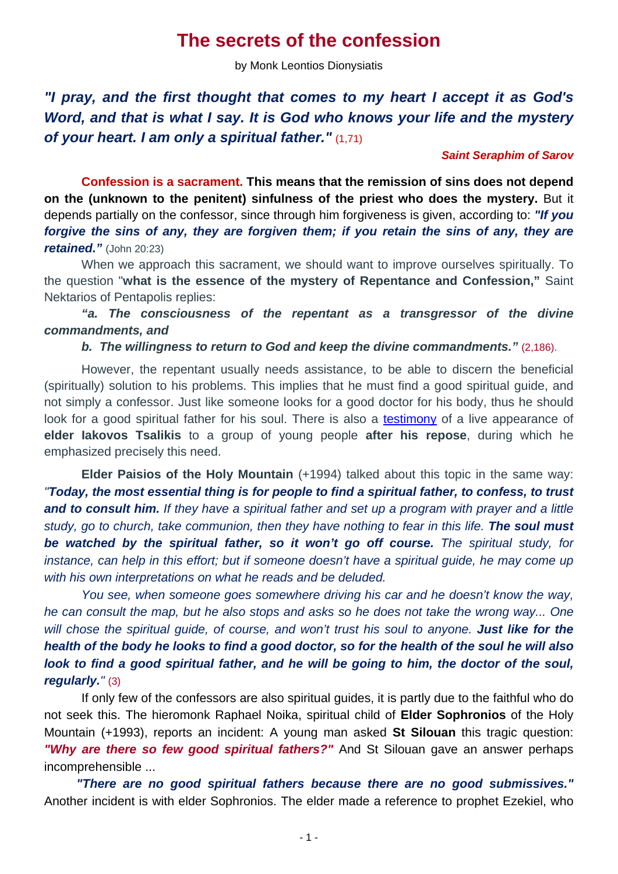## **The secrets of the confession**

by Monk Leontios Dionysiatis

*"I pray, and the first thought that comes to my heart I accept it as God's Word, and that is what I say. It is God who knows your life and the mystery of your heart. I am only a spiritual father."* (1,71)

## *Saint Seraphim of Sarov*

**Confession is a sacrament. This means that the remission of sins does not depend on the (unknown to the penitent) sinfulness of the priest who does the mystery.** But it depends partially on the confessor, since through him forgiveness is given, according to: *"If you forgive the sins of any, they are forgiven them; if you retain the sins of any, they are retained."* (John 20:23)

 When we approach this sacrament, we should want to improve ourselves spiritually. To the question "**what is the essence of the mystery of Repentance and Confession,"** Saint Nektarios of Pentapolis replies:

 *"a. The consciousness of the repentant as a transgressor of the divine commandments, and* 

 *b. The willingness to return to God and keep the divine commandments."* (2,186).

 However, the repentant usually needs assistance, to be able to discern the beneficial (spiritually) solution to his problems. This implies that he must find a good spiritual guide, and not simply a confessor. Just like someone looks for a good doctor for his body, thus he should look for a good spiritual father for his soul. There is also a testimony of a live appearance of **elder Iakovos Tsalikis** to a group of young people **after his repose**, during which he emphasized precisely this need.

**Elder Paisios of the Holy Mountain** (+1994) talked about this topic in the same way: *"Today, the most essential thing is for people to find a spiritual father, to confess, to trust and to consult him. If they have a spiritual father and set up a program with prayer and a little study, go to church, take communion, then they have nothing to fear in this life. The soul must be watched by the spiritual father, so it won't go off course. The spiritual study, for instance, can help in this effort; but if someone doesn't have a spiritual guide, he may come up with his own interpretations on what he reads and be deluded.*

*You see, when someone goes somewhere driving his car and he doesn't know the way, he can consult the map, but he also stops and asks so he does not take the wrong way... One*  will chose the spiritual guide, of course, and won't trust his soul to anyone. **Just like for the** *health of the body he looks to find a good doctor, so for the health of the soul he will also look to find a good spiritual father, and he will be going to him, the doctor of the soul, regularly."* (3)

If only few of the confessors are also spiritual guides, it is partly due to the faithful who do not seek this. The hieromonk Raphael Noika, spiritual child of **Elder Sophronios** of the Holy Mountain (+1993), reports an incident: A young man asked **St Silouan** this tragic question: *"Why are there so few good spiritual fathers?"* And St Silouan gave an answer perhaps incomprehensible ...

*"There are no good spiritual fathers because there are no good submissives."*  Another incident is with elder Sophronios. The elder made a reference to prophet Ezekiel, who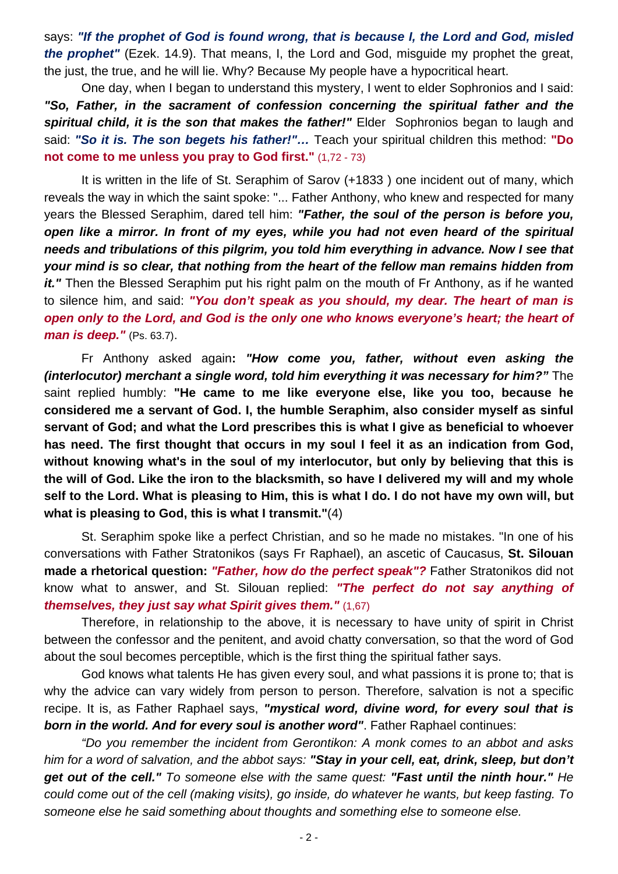says: *"If the prophet of God is found wrong, that is because I, the Lord and God, misled the prophet"* (Ezek. 14.9). That means, I, the Lord and God, misguide my prophet the great, the just, the true, and he will lie. Why? Because My people have a hypocritical heart.

 One day, when I began to understand this mystery, I went to elder Sophronios and I said: *"So, Father, in the sacrament of confession concerning the spiritual father and the spiritual child, it is the son that makes the father!"* Elder Sophronios began to laugh and said: *"So it is. The son begets his father!"…* Teach your spiritual children this method: **"Do not come to me unless you pray to God first."** (1,72 - 73)

 It is written in the life of St. Seraphim of Sarov (+1833 ) one incident out of many, which reveals the way in which the saint spoke: "... Father Anthony, who knew and respected for many years the Blessed Seraphim, dared tell him: *"Father, the soul of the person is before you, open like a mirror. In front of my eyes, while you had not even heard of the spiritual needs and tribulations of this pilgrim, you told him everything in advance. Now I see that your mind is so clear, that nothing from the heart of the fellow man remains hidden from it.*" Then the Blessed Seraphim put his right palm on the mouth of Fr Anthony, as if he wanted to silence him, and said: *"You don't speak as you should, my dear. The heart of man is open only to the Lord, and God is the only one who knows everyone's heart; the heart of man is deep."* (Ps. 63.7).

 Fr Anthony asked again**:** *"How come you, father, without even asking the (interlocutor) merchant a single word, told him everything it was necessary for him?*" The saint replied humbly: **"He came to me like everyone else, like you too, because he considered me a servant of God. I, the humble Seraphim, also consider myself as sinful servant of God; and what the Lord prescribes this is what I give as beneficial to whoever has need. The first thought that occurs in my soul I feel it as an indication from God, without knowing what's in the soul of my interlocutor, but only by believing that this is the will of God. Like the iron to the blacksmith, so have I delivered my will and my whole self to the Lord. What is pleasing to Him, this is what I do. I do not have my own will, but what is pleasing to God, this is what I transmit."**(4)

 St. Seraphim spoke like a perfect Christian, and so he made no mistakes. "In one of his conversations with Father Stratonikos (says Fr Raphael), an ascetic of Caucasus, **St. Silouan made a rhetorical question:** *"Father, how do the perfect speak"?* Father Stratonikos did not know what to answer, and St. Silouan replied: *"The perfect do not say anything of themselves, they just say what Spirit gives them."* (1,67)

 Therefore, in relationship to the above, it is necessary to have unity of spirit in Christ between the confessor and the penitent, and avoid chatty conversation, so that the word of God about the soul becomes perceptible, which is the first thing the spiritual father says.

 God knows what talents He has given every soul, and what passions it is prone to; that is why the advice can vary widely from person to person. Therefore, salvation is not a specific recipe. It is, as Father Raphael says, *"mystical word, divine word, for every soul that is born in the world. And for every soul is another word"*. Father Raphael continues:

 *"Do you remember the incident from Gerontikon: A monk comes to an abbot and asks him for a word of salvation, and the abbot says: "Stay in your cell, eat, drink, sleep, but don't get out of the cell." To someone else with the same quest: "Fast until the ninth hour." He could come out of the cell (making visits), go inside, do whatever he wants, but keep fasting. To someone else he said something about thoughts and something else to someone else.*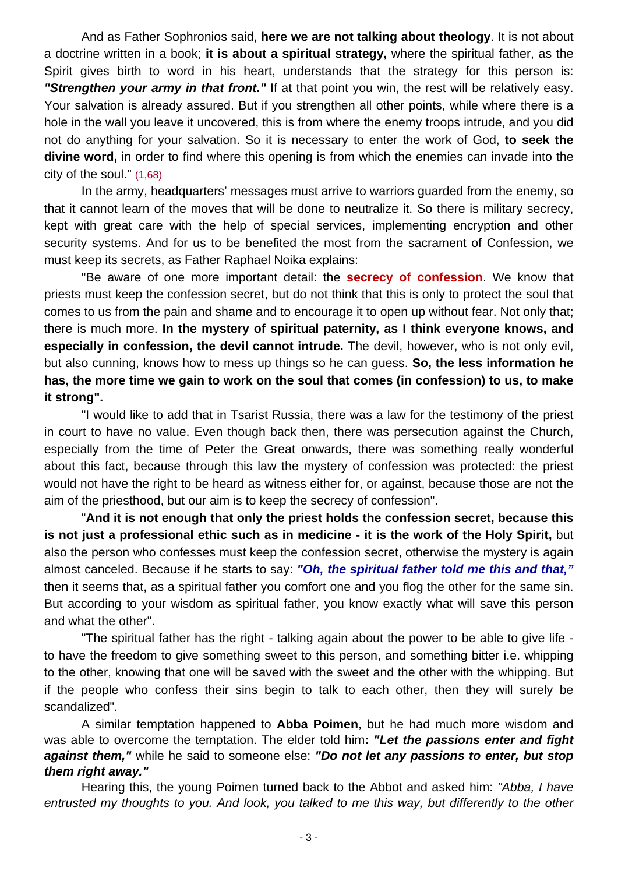And as Father Sophronios said, **here we are not talking about theology**. It is not about a doctrine written in a book; **it is about a spiritual strategy,** where the spiritual father, as the Spirit gives birth to word in his heart, understands that the strategy for this person is: *"Strengthen your army in that front."* If at that point you win, the rest will be relatively easy. Your salvation is already assured. But if you strengthen all other points, while where there is a hole in the wall you leave it uncovered, this is from where the enemy troops intrude, and you did not do anything for your salvation. So it is necessary to enter the work of God, **to seek the divine word,** in order to find where this opening is from which the enemies can invade into the city of the soul." (1,68)

 In the army, headquarters' messages must arrive to warriors guarded from the enemy, so that it cannot learn of the moves that will be done to neutralize it. So there is military secrecy, kept with great care with the help of special services, implementing encryption and other security systems. And for us to be benefited the most from the sacrament of Confession, we must keep its secrets, as Father Raphael Noika explains:

 "Be aware of one more important detail: the **secrecy of confession**. We know that priests must keep the confession secret, but do not think that this is only to protect the soul that comes to us from the pain and shame and to encourage it to open up without fear. Not only that; there is much more. **In the mystery of spiritual paternity, as I think everyone knows, and especially in confession, the devil cannot intrude.** The devil, however, who is not only evil, but also cunning, knows how to mess up things so he can guess. **So, the less information he has, the more time we gain to work on the soul that comes (in confession) to us, to make it strong".** 

 "I would like to add that in Tsarist Russia, there was a law for the testimony of the priest in court to have no value. Even though back then, there was persecution against the Church, especially from the time of Peter the Great onwards, there was something really wonderful about this fact, because through this law the mystery of confession was protected: the priest would not have the right to be heard as witness either for, or against, because those are not the aim of the priesthood, but our aim is to keep the secrecy of confession".

 "**And it is not enough that only the priest holds the confession secret, because this is not just a professional ethic such as in medicine - it is the work of the Holy Spirit,** but also the person who confesses must keep the confession secret, otherwise the mystery is again almost canceled. Because if he starts to say: *"Oh, the spiritual father told me this and that,"* then it seems that, as a spiritual father you comfort one and you flog the other for the same sin. But according to your wisdom as spiritual father, you know exactly what will save this person and what the other".

 "The spiritual father has the right - talking again about the power to be able to give life to have the freedom to give something sweet to this person, and something bitter i.e. whipping to the other, knowing that one will be saved with the sweet and the other with the whipping. But if the people who confess their sins begin to talk to each other, then they will surely be scandalized".

 A similar temptation happened to **Abba Poimen**, but he had much more wisdom and was able to overcome the temptation. The elder told him**:** *"Let the passions enter and fight against them,"* while he said to someone else: *"Do not let any passions to enter, but stop them right away."*

Hearing this, the young Poimen turned back to the Abbot and asked him: *"Abba, I have entrusted my thoughts to you. And look, you talked to me this way, but differently to the other*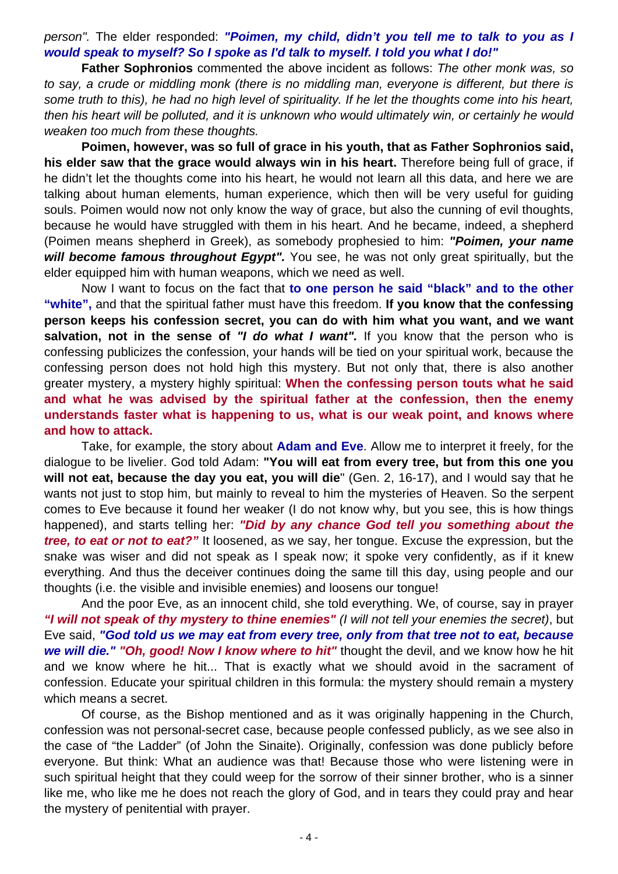*person".* The elder responded: *"Poimen, my child, didn't you tell me to talk to you as I would speak to myself? So I spoke as I'd talk to myself. I told you what I do!"*

**Father Sophronios** commented the above incident as follows: *The other monk was, so to say, a crude or middling monk (there is no middling man, everyone is different, but there is some truth to this), he had no high level of spirituality. If he let the thoughts come into his heart, then his heart will be polluted, and it is unknown who would ultimately win, or certainly he would weaken too much from these thoughts.* 

 **Poimen, however, was so full of grace in his youth, that as Father Sophronios said, his elder saw that the grace would always win in his heart.** Therefore being full of grace, if he didn't let the thoughts come into his heart, he would not learn all this data, and here we are talking about human elements, human experience, which then will be very useful for guiding souls. Poimen would now not only know the way of grace, but also the cunning of evil thoughts, because he would have struggled with them in his heart. And he became, indeed, a shepherd (Poimen means shepherd in Greek), as somebody prophesied to him: *"Poimen, your name will become famous throughout Egypt".* You see, he was not only great spiritually, but the elder equipped him with human weapons, which we need as well.

 Now I want to focus on the fact that **to one person he said "black" and to the other "white",** and that the spiritual father must have this freedom. **If you know that the confessing person keeps his confession secret, you can do with him what you want, and we want salvation, not in the sense of** *"I do what I want".* If you know that the person who is confessing publicizes the confession, your hands will be tied on your spiritual work, because the confessing person does not hold high this mystery. But not only that, there is also another greater mystery, a mystery highly spiritual: **When the confessing person touts what he said and what he was advised by the spiritual father at the confession, then the enemy understands faster what is happening to us, what is our weak point, and knows where and how to attack.** 

Take, for example, the story about **Adam and Eve**. Allow me to interpret it freely, for the dialogue to be livelier. God told Adam: **"You will eat from every tree, but from this one you will not eat, because the day you eat, you will die**" (Gen. 2, 16-17), and I would say that he wants not just to stop him, but mainly to reveal to him the mysteries of Heaven. So the serpent comes to Eve because it found her weaker (I do not know why, but you see, this is how things happened), and starts telling her: *"Did by any chance God tell you something about the tree, to eat or not to eat?"* It loosened, as we say, her tongue. Excuse the expression, but the snake was wiser and did not speak as I speak now; it spoke very confidently, as if it knew everything. And thus the deceiver continues doing the same till this day, using people and our thoughts (i.e. the visible and invisible enemies) and loosens our tongue!

 And the poor Eve, as an innocent child, she told everything. We, of course, say in prayer *"I will not speak of thy mystery to thine enemies" (I will not tell your enemies the secret)*, but Eve said, *"God told us we may eat from every tree, only from that tree not to eat, because we will die." "Oh, good! Now I know where to hit"* thought the devil, and we know how he hit and we know where he hit... That is exactly what we should avoid in the sacrament of confession. Educate your spiritual children in this formula: the mystery should remain a mystery which means a secret.

 Of course, as the Bishop mentioned and as it was originally happening in the Church, confession was not personal-secret case, because people confessed publicly, as we see also in the case of "the Ladder" (of John the Sinaite). Originally, confession was done publicly before everyone. But think: What an audience was that! Because those who were listening were in such spiritual height that they could weep for the sorrow of their sinner brother, who is a sinner like me, who like me he does not reach the glory of God, and in tears they could pray and hear the mystery of penitential with prayer.